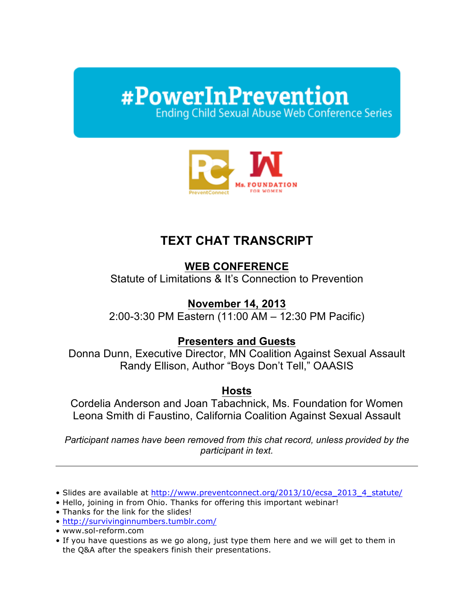## #PowerInPrevention **Ending Child Sexual Abuse Web Conference Series**



## **TEXT CHAT TRANSCRIPT**

**WEB CONFERENCE** Statute of Limitations & It's Connection to Prevention

**November 14, 2013**

2:00-3:30 PM Eastern (11:00 AM – 12:30 PM Pacific)

## **Presenters and Guests**

Donna Dunn, Executive Director, MN Coalition Against Sexual Assault Randy Ellison, Author "Boys Don't Tell," OAASIS

## **Hosts**

Cordelia Anderson and Joan Tabachnick, Ms. Foundation for Women Leona Smith di Faustino, California Coalition Against Sexual Assault

*Participant names have been removed from this chat record, unless provided by the participant in text.*

• Slides are available at http://www.preventconnect.org/2013/10/ecsa\_2013\_4\_statute/

- Hello, joining in from Ohio. Thanks for offering this important webinar!
- Thanks for the link for the slides!
- http://survivinginnumbers.tumblr.com/
- www.sol-reform.com
- If you have questions as we go along, just type them here and we will get to them in the Q&A after the speakers finish their presentations.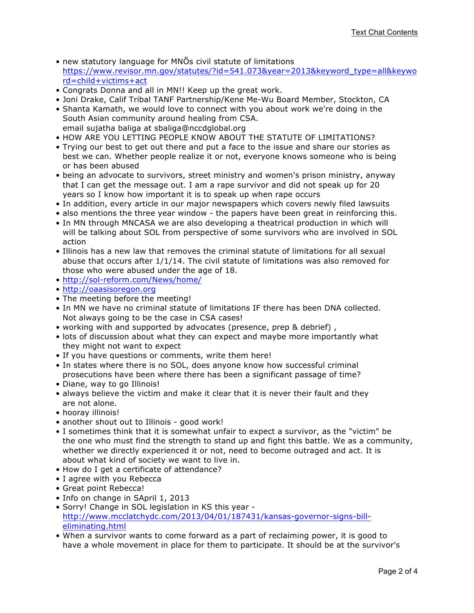- new statutory language for MNÕs civil statute of limitations https://www.revisor.mn.gov/statutes/?id=541.073&year=2013&keyword\_type=all&keywo rd=child+victims+act
- Congrats Donna and all in MN!! Keep up the great work.
- Joni Drake, Calif Tribal TANF Partnership/Kene Me-Wu Board Member, Stockton, CA
- Shanta Kamath, we would love to connect with you about work we're doing in the South Asian community around healing from CSA. email sujatha baliga at sbaliga@nccdglobal.org
- HOW ARE YOU LETTING PEOPLE KNOW ABOUT THE STATUTE OF LIMITATIONS?
- Trying our best to get out there and put a face to the issue and share our stories as best we can. Whether people realize it or not, everyone knows someone who is being or has been abused
- being an advocate to survivors, street ministry and women's prison ministry, anyway that I can get the message out. I am a rape survivor and did not speak up for 20 years so I know how important it is to speak up when rape occurs
- In addition, every article in our major newspapers which covers newly filed lawsuits
- also mentions the three year window the papers have been great in reinforcing this.
- In MN through MNCASA we are also developing a theatrical production in which will will be talking about SOL from perspective of some survivors who are involved in SOL action
- Illinois has a new law that removes the criminal statute of limitations for all sexual abuse that occurs after 1/1/14. The civil statute of limitations was also removed for those who were abused under the age of 18.
- http://sol-reform.com/News/home/
- http://oaasisoregon.org
- The meeting before the meeting!
- In MN we have no criminal statute of limitations IF there has been DNA collected. Not always going to be the case in CSA cases!
- working with and supported by advocates (presence, prep & debrief) ,
- lots of discussion about what they can expect and maybe more importantly what they might not want to expect
- If you have questions or comments, write them here!
- In states where there is no SOL, does anyone know how successful criminal prosecutions have been where there has been a significant passage of time?
- Diane, way to go Illinois!
- always believe the victim and make it clear that it is never their fault and they are not alone.
- hooray illinois!
- another shout out to Illinois good work!
- I sometimes think that it is somewhat unfair to expect a survivor, as the "victim" be the one who must find the strength to stand up and fight this battle. We as a community, whether we directly experienced it or not, need to become outraged and act. It is about what kind of society we want to live in.
- How do I get a certificate of attendance?
- I agree with you Rebecca
- Great point Rebecca!
- Info on change in SApril 1, 2013
- Sorry! Change in SOL legislation in KS this year http://www.mcclatchydc.com/2013/04/01/187431/kansas-governor-signs-billeliminating.html
- When a survivor wants to come forward as a part of reclaiming power, it is good to have a whole movement in place for them to participate. It should be at the survivor's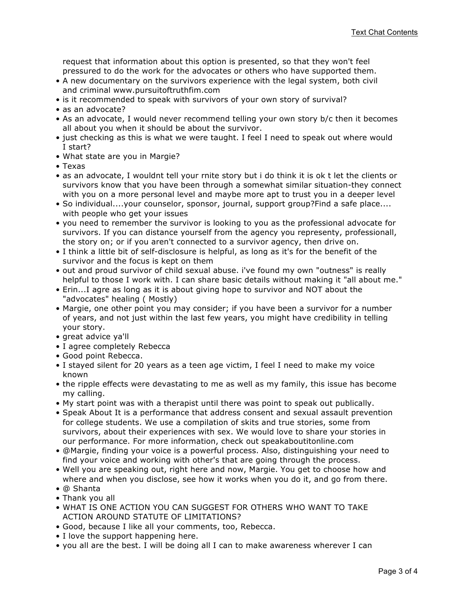request that information about this option is presented, so that they won't feel pressured to do the work for the advocates or others who have supported them.

- A new documentary on the survivors experience with the legal system, both civil and criminal www.pursuitoftruthfim.com
- is it recommended to speak with survivors of your own story of survival?
- as an advocate?
- As an advocate, I would never recommend telling your own story b/c then it becomes all about you when it should be about the survivor.
- just checking as this is what we were taught. I feel I need to speak out where would I start?
- What state are you in Margie?
- Texas
- as an advocate, I wouldnt tell your rnite story but i do think it is ok t let the clients or survivors know that you have been through a somewhat similar situation-they connect with you on a more personal level and maybe more apt to trust you in a deeper level
- So individual....your counselor, sponsor, journal, support group?Find a safe place.... with people who get your issues
- you need to remember the survivor is looking to you as the professional advocate for survivors. If you can distance yourself from the agency you representy, professionall, the story on; or if you aren't connected to a survivor agency, then drive on.
- I think a little bit of self-disclosure is helpful, as long as it's for the benefit of the survivor and the focus is kept on them
- out and proud survivor of child sexual abuse. i've found my own "outness" is really helpful to those I work with. I can share basic details without making it "all about me."
- Erin...I agre as long as it is about giving hope to survivor and NOT about the "advocates" healing ( Mostly)
- Margie, one other point you may consider; if you have been a survivor for a number of years, and not just within the last few years, you might have credibility in telling your story.
- great advice ya'll
- I agree completely Rebecca
- Good point Rebecca.
- I stayed silent for 20 years as a teen age victim, I feel I need to make my voice known
- the ripple effects were devastating to me as well as my family, this issue has become my calling.
- My start point was with a therapist until there was point to speak out publically.
- Speak About It is a performance that address consent and sexual assault prevention for college students. We use a compilation of skits and true stories, some from survivors, about their experiences with sex. We would love to share your stories in our performance. For more information, check out speakaboutitonline.com
- @Margie, finding your voice is a powerful process. Also, distinguishing your need to find your voice and working with other's that are going through the process.
- Well you are speaking out, right here and now, Margie. You get to choose how and where and when you disclose, see how it works when you do it, and go from there.
- @ Shanta
- Thank you all
- WHAT IS ONE ACTION YOU CAN SUGGEST FOR OTHERS WHO WANT TO TAKE ACTION AROUND STATUTE OF LIMITATIONS?
- Good, because I like all your comments, too, Rebecca.
- I love the support happening here.
- you all are the best. I will be doing all I can to make awareness wherever I can